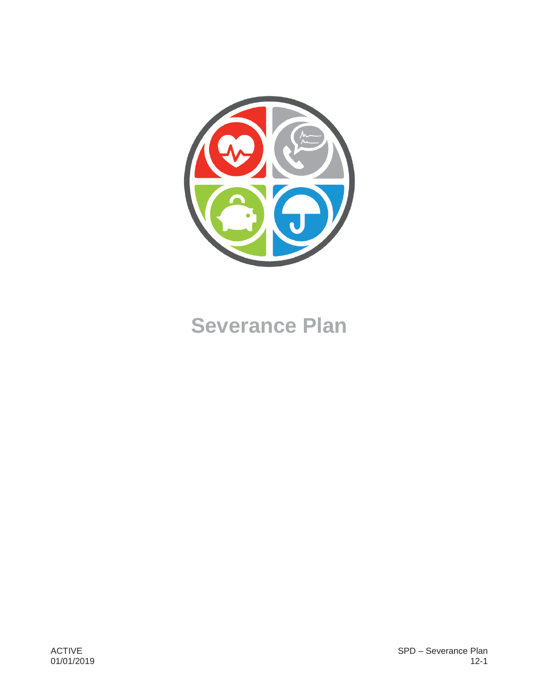

# **Severance Plan**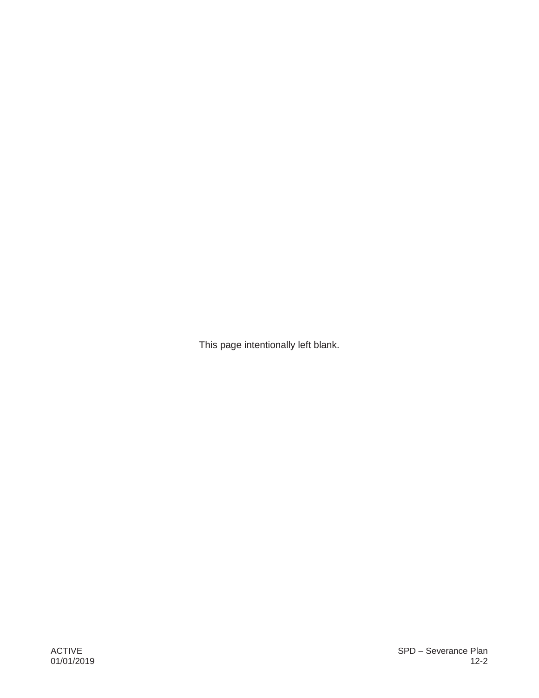This page intentionally left blank.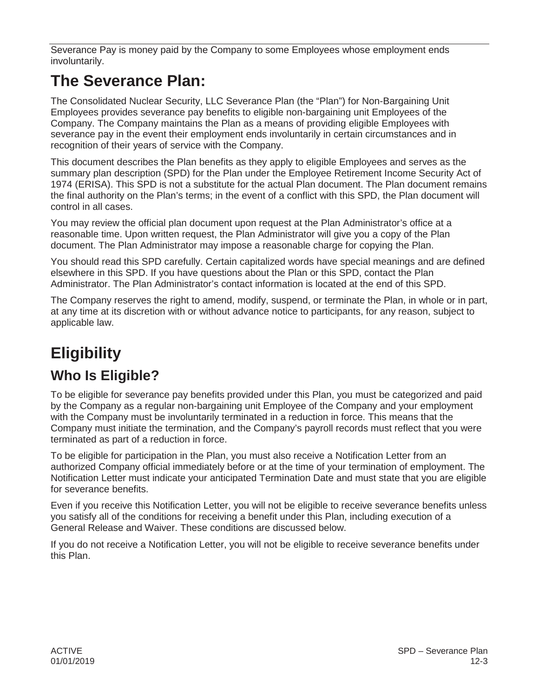Severance Pay is money paid by the Company to some Employees whose employment ends involuntarily.

# **The Severance Plan:**

The Consolidated Nuclear Security, LLC Severance Plan (the "Plan") for Non-Bargaining Unit Employees provides severance pay benefits to eligible non-bargaining unit Employees of the Company. The Company maintains the Plan as a means of providing eligible Employees with severance pay in the event their employment ends involuntarily in certain circumstances and in recognition of their years of service with the Company.

This document describes the Plan benefits as they apply to eligible Employees and serves as the summary plan description (SPD) for the Plan under the Employee Retirement Income Security Act of 1974 (ERISA). This SPD is not a substitute for the actual Plan document. The Plan document remains the final authority on the Plan's terms; in the event of a conflict with this SPD, the Plan document will control in all cases.

You may review the official plan document upon request at the Plan Administrator's office at a reasonable time. Upon written request, the Plan Administrator will give you a copy of the Plan document. The Plan Administrator may impose a reasonable charge for copying the Plan.

You should read this SPD carefully. Certain capitalized words have special meanings and are defined elsewhere in this SPD. If you have questions about the Plan or this SPD, contact the Plan Administrator. The Plan Administrator's contact information is located at the end of this SPD.

The Company reserves the right to amend, modify, suspend, or terminate the Plan, in whole or in part, at any time at its discretion with or without advance notice to participants, for any reason, subject to applicable law.

# **Eligibility**

### **Who Is Eligible?**

To be eligible for severance pay benefits provided under this Plan, you must be categorized and paid by the Company as a regular non-bargaining unit Employee of the Company and your employment with the Company must be involuntarily terminated in a reduction in force. This means that the Company must initiate the termination, and the Company's payroll records must reflect that you were terminated as part of a reduction in force.

To be eligible for participation in the Plan, you must also receive a Notification Letter from an authorized Company official immediately before or at the time of your termination of employment. The Notification Letter must indicate your anticipated Termination Date and must state that you are eligible for severance benefits.

Even if you receive this Notification Letter, you will not be eligible to receive severance benefits unless you satisfy all of the conditions for receiving a benefit under this Plan, including execution of a General Release and Waiver. These conditions are discussed below.

If you do not receive a Notification Letter, you will not be eligible to receive severance benefits under this Plan.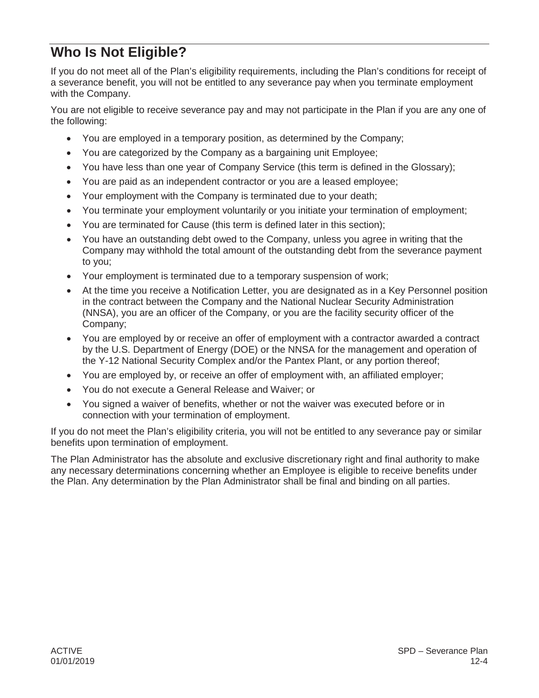### **Who Is Not Eligible?**

If you do not meet all of the Plan's eligibility requirements, including the Plan's conditions for receipt of a severance benefit, you will not be entitled to any severance pay when you terminate employment with the Company.

You are not eligible to receive severance pay and may not participate in the Plan if you are any one of the following:

- You are employed in a temporary position, as determined by the Company;
- You are categorized by the Company as a bargaining unit Employee;
- You have less than one year of Company Service (this term is defined in the Glossary);
- You are paid as an independent contractor or you are a leased employee;
- Your employment with the Company is terminated due to your death;
- You terminate your employment voluntarily or you initiate your termination of employment;
- You are terminated for Cause (this term is defined later in this section);
- You have an outstanding debt owed to the Company, unless you agree in writing that the Company may withhold the total amount of the outstanding debt from the severance payment to you;
- Your employment is terminated due to a temporary suspension of work;
- At the time you receive a Notification Letter, you are designated as in a Key Personnel position in the contract between the Company and the National Nuclear Security Administration (NNSA), you are an officer of the Company, or you are the facility security officer of the Company;
- You are employed by or receive an offer of employment with a contractor awarded a contract by the U.S. Department of Energy (DOE) or the NNSA for the management and operation of the Y-12 National Security Complex and/or the Pantex Plant, or any portion thereof;
- You are employed by, or receive an offer of employment with, an affiliated employer;
- You do not execute a General Release and Waiver; or
- You signed a waiver of benefits, whether or not the waiver was executed before or in connection with your termination of employment.

If you do not meet the Plan's eligibility criteria, you will not be entitled to any severance pay or similar benefits upon termination of employment.

The Plan Administrator has the absolute and exclusive discretionary right and final authority to make any necessary determinations concerning whether an Employee is eligible to receive benefits under the Plan. Any determination by the Plan Administrator shall be final and binding on all parties.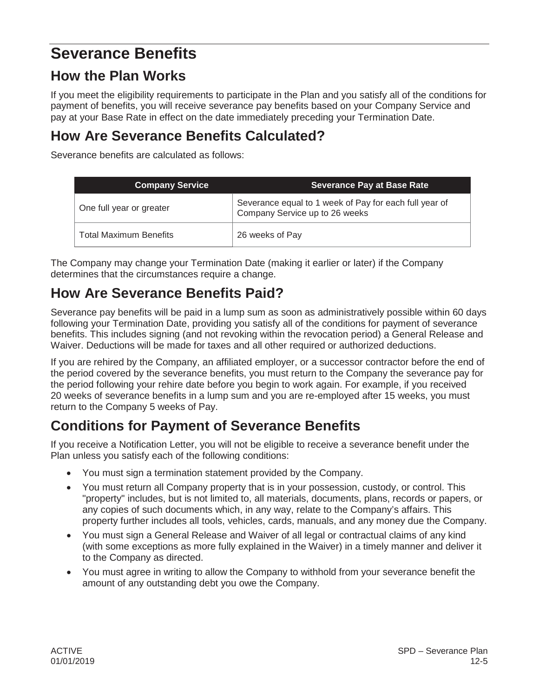## **Severance Benefits**

### **How the Plan Works**

If you meet the eligibility requirements to participate in the Plan and you satisfy all of the conditions for payment of benefits, you will receive severance pay benefits based on your Company Service and pay at your Base Rate in effect on the date immediately preceding your Termination Date.

### **How Are Severance Benefits Calculated?**

Severance benefits are calculated as follows:

| <b>Company Service</b>        | <b>Severance Pay at Base Rate</b>                                                        |
|-------------------------------|------------------------------------------------------------------------------------------|
| One full year or greater      | Severance equal to 1 week of Pay for each full year of<br>Company Service up to 26 weeks |
| <b>Total Maximum Benefits</b> | 26 weeks of Pay                                                                          |

The Company may change your Termination Date (making it earlier or later) if the Company determines that the circumstances require a change.

### **How Are Severance Benefits Paid?**

Severance pay benefits will be paid in a lump sum as soon as administratively possible within 60 days following your Termination Date, providing you satisfy all of the conditions for payment of severance benefits. This includes signing (and not revoking within the revocation period) a General Release and Waiver. Deductions will be made for taxes and all other required or authorized deductions.

If you are rehired by the Company, an affiliated employer, or a successor contractor before the end of the period covered by the severance benefits, you must return to the Company the severance pay for the period following your rehire date before you begin to work again. For example, if you received 20 weeks of severance benefits in a lump sum and you are re-employed after 15 weeks, you must return to the Company 5 weeks of Pay.

### **Conditions for Payment of Severance Benefits**

If you receive a Notification Letter, you will not be eligible to receive a severance benefit under the Plan unless you satisfy each of the following conditions:

- You must sign a termination statement provided by the Company.
- You must return all Company property that is in your possession, custody, or control. This "property" includes, but is not limited to, all materials, documents, plans, records or papers, or any copies of such documents which, in any way, relate to the Company's affairs. This property further includes all tools, vehicles, cards, manuals, and any money due the Company.
- You must sign a General Release and Waiver of all legal or contractual claims of any kind (with some exceptions as more fully explained in the Waiver) in a timely manner and deliver it to the Company as directed.
- You must agree in writing to allow the Company to withhold from your severance benefit the amount of any outstanding debt you owe the Company.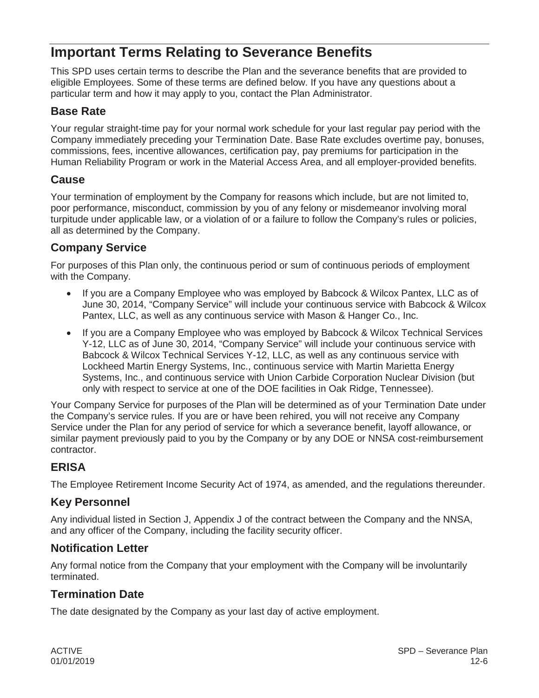### **Important Terms Relating to Severance Benefits**

This SPD uses certain terms to describe the Plan and the severance benefits that are provided to eligible Employees. Some of these terms are defined below. If you have any questions about a particular term and how it may apply to you, contact the Plan Administrator.

### **Base Rate**

Your regular straight-time pay for your normal work schedule for your last regular pay period with the Company immediately preceding your Termination Date. Base Rate excludes overtime pay, bonuses, commissions, fees, incentive allowances, certification pay, pay premiums for participation in the Human Reliability Program or work in the Material Access Area, and all employer-provided benefits.

### **Cause**

Your termination of employment by the Company for reasons which include, but are not limited to, poor performance, misconduct, commission by you of any felony or misdemeanor involving moral turpitude under applicable law, or a violation of or a failure to follow the Company's rules or policies, all as determined by the Company.

### **Company Service**

For purposes of this Plan only, the continuous period or sum of continuous periods of employment with the Company.

- If you are a Company Employee who was employed by Babcock & Wilcox Pantex, LLC as of June 30, 2014, "Company Service" will include your continuous service with Babcock & Wilcox Pantex, LLC, as well as any continuous service with Mason & Hanger Co., Inc.
- If you are a Company Employee who was employed by Babcock & Wilcox Technical Services Y-12, LLC as of June 30, 2014, "Company Service" will include your continuous service with Babcock & Wilcox Technical Services Y-12, LLC, as well as any continuous service with Lockheed Martin Energy Systems, Inc., continuous service with Martin Marietta Energy Systems, Inc., and continuous service with Union Carbide Corporation Nuclear Division (but only with respect to service at one of the DOE facilities in Oak Ridge, Tennessee).

Your Company Service for purposes of the Plan will be determined as of your Termination Date under the Company's service rules. If you are or have been rehired, you will not receive any Company Service under the Plan for any period of service for which a severance benefit, layoff allowance, or similar payment previously paid to you by the Company or by any DOE or NNSA cost-reimbursement contractor.

### **ERISA**

The Employee Retirement Income Security Act of 1974, as amended, and the regulations thereunder.

### **Key Personnel**

Any individual listed in Section J, Appendix J of the contract between the Company and the NNSA, and any officer of the Company, including the facility security officer.

### **Notification Letter**

Any formal notice from the Company that your employment with the Company will be involuntarily terminated.

### **Termination Date**

The date designated by the Company as your last day of active employment.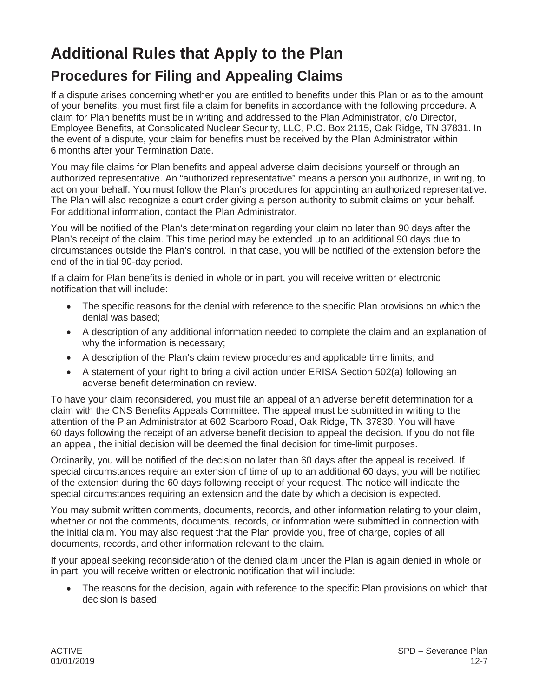# **Additional Rules that Apply to the Plan**

### **Procedures for Filing and Appealing Claims**

If a dispute arises concerning whether you are entitled to benefits under this Plan or as to the amount of your benefits, you must first file a claim for benefits in accordance with the following procedure. A claim for Plan benefits must be in writing and addressed to the Plan Administrator, c/o Director, Employee Benefits, at Consolidated Nuclear Security, LLC, P.O. Box 2115, Oak Ridge, TN 37831. In the event of a dispute, your claim for benefits must be received by the Plan Administrator within 6 months after your Termination Date.

You may file claims for Plan benefits and appeal adverse claim decisions yourself or through an authorized representative. An "authorized representative" means a person you authorize, in writing, to act on your behalf. You must follow the Plan's procedures for appointing an authorized representative. The Plan will also recognize a court order giving a person authority to submit claims on your behalf. For additional information, contact the Plan Administrator.

You will be notified of the Plan's determination regarding your claim no later than 90 days after the Plan's receipt of the claim. This time period may be extended up to an additional 90 days due to circumstances outside the Plan's control. In that case, you will be notified of the extension before the end of the initial 90-day period.

If a claim for Plan benefits is denied in whole or in part, you will receive written or electronic notification that will include:

- The specific reasons for the denial with reference to the specific Plan provisions on which the denial was based;
- A description of any additional information needed to complete the claim and an explanation of why the information is necessary;
- A description of the Plan's claim review procedures and applicable time limits; and
- A statement of your right to bring a civil action under ERISA Section 502(a) following an adverse benefit determination on review.

To have your claim reconsidered, you must file an appeal of an adverse benefit determination for a claim with the CNS Benefits Appeals Committee. The appeal must be submitted in writing to the attention of the Plan Administrator at 602 Scarboro Road, Oak Ridge, TN 37830. You will have 60 days following the receipt of an adverse benefit decision to appeal the decision. If you do not file an appeal, the initial decision will be deemed the final decision for time-limit purposes.

Ordinarily, you will be notified of the decision no later than 60 days after the appeal is received. If special circumstances require an extension of time of up to an additional 60 days, you will be notified of the extension during the 60 days following receipt of your request. The notice will indicate the special circumstances requiring an extension and the date by which a decision is expected.

You may submit written comments, documents, records, and other information relating to your claim, whether or not the comments, documents, records, or information were submitted in connection with the initial claim. You may also request that the Plan provide you, free of charge, copies of all documents, records, and other information relevant to the claim.

If your appeal seeking reconsideration of the denied claim under the Plan is again denied in whole or in part, you will receive written or electronic notification that will include:

• The reasons for the decision, again with reference to the specific Plan provisions on which that decision is based;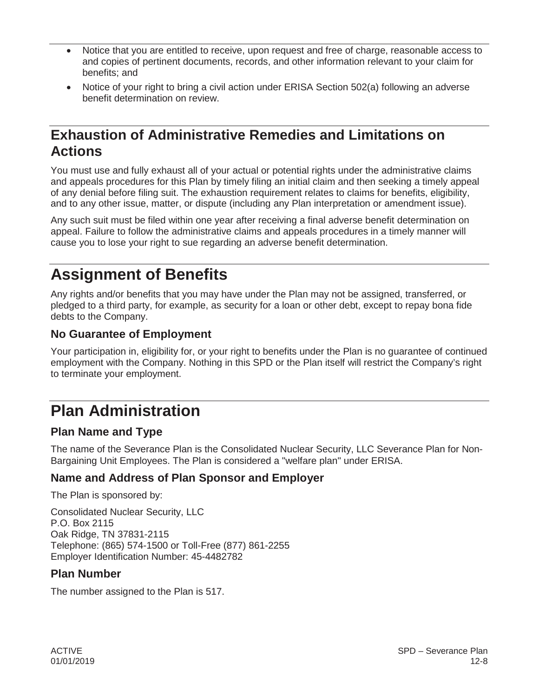- Notice that you are entitled to receive, upon request and free of charge, reasonable access to and copies of pertinent documents, records, and other information relevant to your claim for benefits; and
- Notice of your right to bring a civil action under ERISA Section 502(a) following an adverse benefit determination on review.

### **Exhaustion of Administrative Remedies and Limitations on Actions**

You must use and fully exhaust all of your actual or potential rights under the administrative claims and appeals procedures for this Plan by timely filing an initial claim and then seeking a timely appeal of any denial before filing suit. The exhaustion requirement relates to claims for benefits, eligibility, and to any other issue, matter, or dispute (including any Plan interpretation or amendment issue).

Any such suit must be filed within one year after receiving a final adverse benefit determination on appeal. Failure to follow the administrative claims and appeals procedures in a timely manner will cause you to lose your right to sue regarding an adverse benefit determination.

# **Assignment of Benefits**

Any rights and/or benefits that you may have under the Plan may not be assigned, transferred, or pledged to a third party, for example, as security for a loan or other debt, except to repay bona fide debts to the Company.

### **No Guarantee of Employment**

Your participation in, eligibility for, or your right to benefits under the Plan is no guarantee of continued employment with the Company. Nothing in this SPD or the Plan itself will restrict the Company's right to terminate your employment.

## **Plan Administration**

### **Plan Name and Type**

The name of the Severance Plan is the Consolidated Nuclear Security, LLC Severance Plan for Non-Bargaining Unit Employees. The Plan is considered a "welfare plan" under ERISA.

### **Name and Address of Plan Sponsor and Employer**

The Plan is sponsored by:

Consolidated Nuclear Security, LLC P.O. Box 2115 Oak Ridge, TN 37831-2115 Telephone: (865) 574-1500 or Toll-Free (877) 861-2255 Employer Identification Number: 45-4482782

### **Plan Number**

The number assigned to the Plan is 517.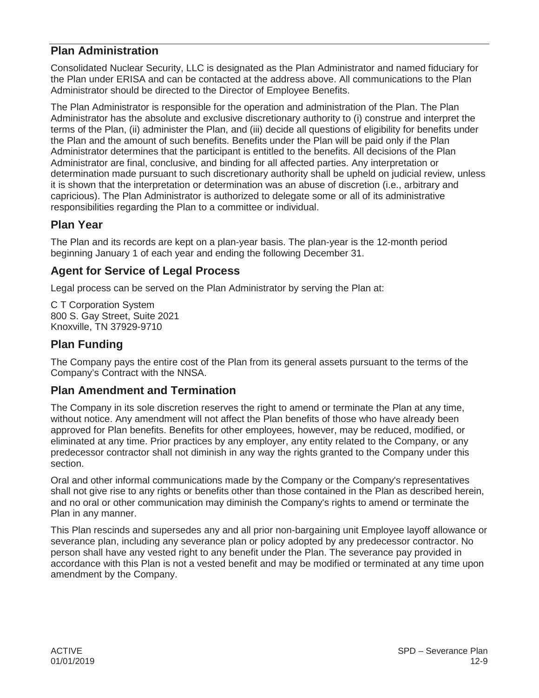### **Plan Administration**

Consolidated Nuclear Security, LLC is designated as the Plan Administrator and named fiduciary for the Plan under ERISA and can be contacted at the address above. All communications to the Plan Administrator should be directed to the Director of Employee Benefits.

The Plan Administrator is responsible for the operation and administration of the Plan. The Plan Administrator has the absolute and exclusive discretionary authority to (i) construe and interpret the terms of the Plan, (ii) administer the Plan, and (iii) decide all questions of eligibility for benefits under the Plan and the amount of such benefits. Benefits under the Plan will be paid only if the Plan Administrator determines that the participant is entitled to the benefits. All decisions of the Plan Administrator are final, conclusive, and binding for all affected parties. Any interpretation or determination made pursuant to such discretionary authority shall be upheld on judicial review, unless it is shown that the interpretation or determination was an abuse of discretion (i.e., arbitrary and capricious). The Plan Administrator is authorized to delegate some or all of its administrative responsibilities regarding the Plan to a committee or individual.

### **Plan Year**

The Plan and its records are kept on a plan-year basis. The plan-year is the 12-month period beginning January 1 of each year and ending the following December 31.

### **Agent for Service of Legal Process**

Legal process can be served on the Plan Administrator by serving the Plan at:

C T Corporation System 800 S. Gay Street, Suite 2021 Knoxville, TN 37929-9710

### **Plan Funding**

The Company pays the entire cost of the Plan from its general assets pursuant to the terms of the Company's Contract with the NNSA.

### **Plan Amendment and Termination**

The Company in its sole discretion reserves the right to amend or terminate the Plan at any time, without notice. Any amendment will not affect the Plan benefits of those who have already been approved for Plan benefits. Benefits for other employees, however, may be reduced, modified, or eliminated at any time. Prior practices by any employer, any entity related to the Company, or any predecessor contractor shall not diminish in any way the rights granted to the Company under this section.

Oral and other informal communications made by the Company or the Company's representatives shall not give rise to any rights or benefits other than those contained in the Plan as described herein, and no oral or other communication may diminish the Company's rights to amend or terminate the Plan in any manner.

This Plan rescinds and supersedes any and all prior non-bargaining unit Employee layoff allowance or severance plan, including any severance plan or policy adopted by any predecessor contractor. No person shall have any vested right to any benefit under the Plan. The severance pay provided in accordance with this Plan is not a vested benefit and may be modified or terminated at any time upon amendment by the Company.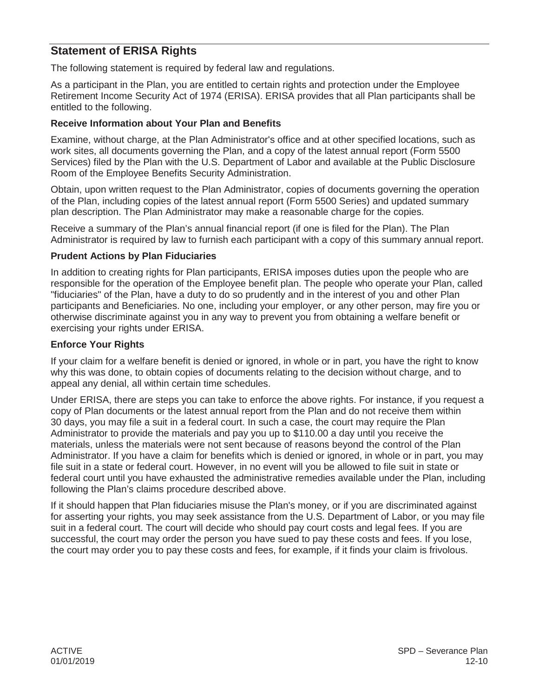### **Statement of ERISA Rights**

The following statement is required by federal law and regulations.

As a participant in the Plan, you are entitled to certain rights and protection under the Employee Retirement Income Security Act of 1974 (ERISA). ERISA provides that all Plan participants shall be entitled to the following.

#### **Receive Information about Your Plan and Benefits**

Examine, without charge, at the Plan Administrator's office and at other specified locations, such as work sites, all documents governing the Plan, and a copy of the latest annual report (Form 5500 Services) filed by the Plan with the U.S. Department of Labor and available at the Public Disclosure Room of the Employee Benefits Security Administration.

Obtain, upon written request to the Plan Administrator, copies of documents governing the operation of the Plan, including copies of the latest annual report (Form 5500 Series) and updated summary plan description. The Plan Administrator may make a reasonable charge for the copies.

Receive a summary of the Plan's annual financial report (if one is filed for the Plan). The Plan Administrator is required by law to furnish each participant with a copy of this summary annual report.

#### **Prudent Actions by Plan Fiduciaries**

In addition to creating rights for Plan participants, ERISA imposes duties upon the people who are responsible for the operation of the Employee benefit plan. The people who operate your Plan, called "fiduciaries" of the Plan, have a duty to do so prudently and in the interest of you and other Plan participants and Beneficiaries. No one, including your employer, or any other person, may fire you or otherwise discriminate against you in any way to prevent you from obtaining a welfare benefit or exercising your rights under ERISA.

#### **Enforce Your Rights**

If your claim for a welfare benefit is denied or ignored, in whole or in part, you have the right to know why this was done, to obtain copies of documents relating to the decision without charge, and to appeal any denial, all within certain time schedules.

Under ERISA, there are steps you can take to enforce the above rights. For instance, if you request a copy of Plan documents or the latest annual report from the Plan and do not receive them within 30 days, you may file a suit in a federal court. In such a case, the court may require the Plan Administrator to provide the materials and pay you up to \$110.00 a day until you receive the materials, unless the materials were not sent because of reasons beyond the control of the Plan Administrator. If you have a claim for benefits which is denied or ignored, in whole or in part, you may file suit in a state or federal court. However, in no event will you be allowed to file suit in state or federal court until you have exhausted the administrative remedies available under the Plan, including following the Plan's claims procedure described above.

If it should happen that Plan fiduciaries misuse the Plan's money, or if you are discriminated against for asserting your rights, you may seek assistance from the U.S. Department of Labor, or you may file suit in a federal court. The court will decide who should pay court costs and legal fees. If you are successful, the court may order the person you have sued to pay these costs and fees. If you lose, the court may order you to pay these costs and fees, for example, if it finds your claim is frivolous.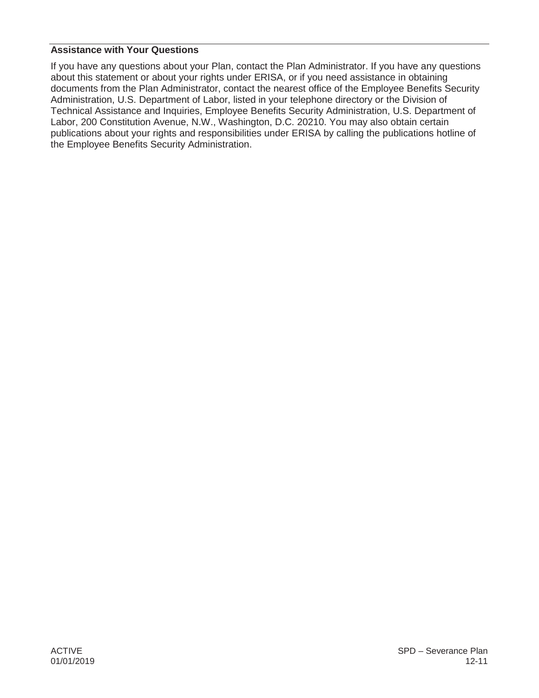#### **Assistance with Your Questions**

If you have any questions about your Plan, contact the Plan Administrator. If you have any questions about this statement or about your rights under ERISA, or if you need assistance in obtaining documents from the Plan Administrator, contact the nearest office of the Employee Benefits Security Administration, U.S. Department of Labor, listed in your telephone directory or the Division of Technical Assistance and Inquiries, Employee Benefits Security Administration, U.S. Department of Labor, 200 Constitution Avenue, N.W., Washington, D.C. 20210. You may also obtain certain publications about your rights and responsibilities under ERISA by calling the publications hotline of the Employee Benefits Security Administration.